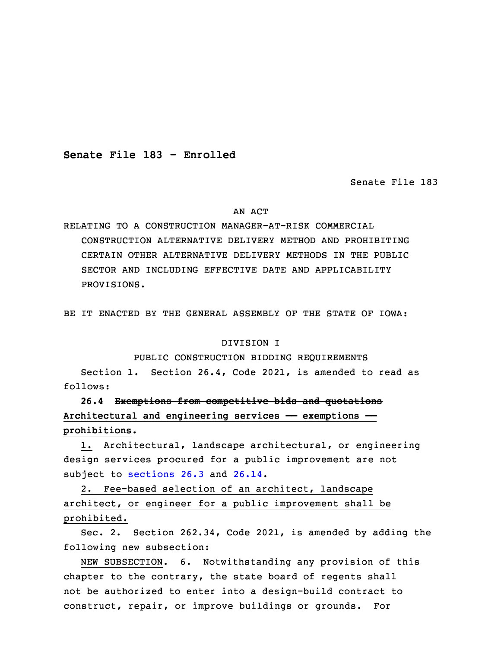**Senate File 183 - Enrolled**

Senate File 183

## AN ACT

RELATING TO A CONSTRUCTION MANAGER-AT-RISK COMMERCIAL CONSTRUCTION ALTERNATIVE DELIVERY METHOD AND PROHIBITING CERTAIN OTHER ALTERNATIVE DELIVERY METHODS IN THE PUBLIC SECTOR AND INCLUDING EFFECTIVE DATE AND APPLICABILITY PROVISIONS.

BE IT ENACTED BY THE GENERAL ASSEMBLY OF THE STATE OF IOWA:

## DIVISION I

## PUBLIC CONSTRUCTION BIDDING REQUIREMENTS

Section 1. Section 26.4, Code 2021, is amended to read as follows:

5 **26.4 Exemptions from competitive bids and quotations** 6 **Architectural and engineering services —— exemptions ——** 7 **prohibitions.**

1. Architectural, landscape architectural, or engineering design services procured for a public improvement are not subject to [sections](https://www.legis.iowa.gov/docs/code/2022/26.3.pdf) 26.3 and [26.14](https://www.legis.iowa.gov/docs/code/2022/26.14.pdf).

 2. Fee-based selection of an architect, landscape architect, or engineer for <sup>a</sup> public improvement shall be prohibited.

 Sec. 2. Section 262.34, Code 2021, is amended by adding the following new subsection:

NEW SUBSECTION. 6. Notwithstanding any provision of this chapter to the contrary, the state board of regents shall not be authorized to enter into a design-build contract to construct, repair, or improve buildings or grounds. For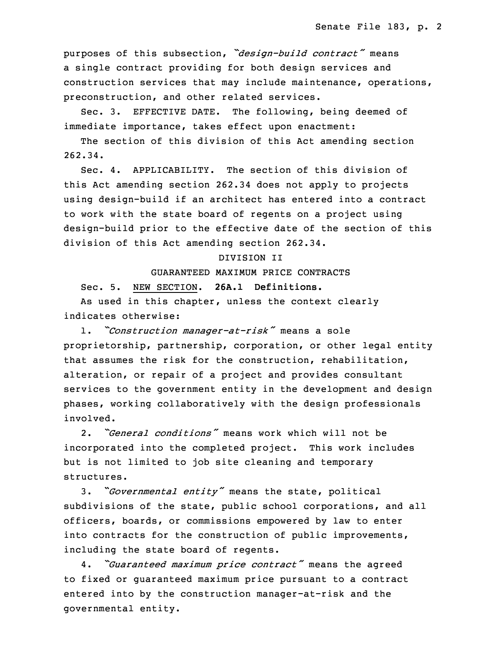<sup>20</sup> purposes of this subsection, *"design-build contract"* means <sup>a</sup> single contract providing for both design services and construction services that may include maintenance, operations, preconstruction, and other related services.

 Sec. 3. EFFECTIVE DATE. The following, being deemed of immediate importance, takes effect upon enactment:

The section of this division of this Act amending section  $262.34.$ 

Sec. 4. APPLICABILITY. The section of this division of this Act amending section 262.34 does not apply to projects using design-build if an architect has entered into a contract to work with the state board of regents on a project using design-build prior to the effective date of the section of this division of this Act amending section 262.34.

## 34 DIVISION II

35 GUARANTEED MAXIMUM PRICE CONTRACTS

Sec. 5. NEW SECTION. **26A.1 Definitions.**

 As used in this chapter, unless the context clearly indicates otherwise:

 1. *"Construction manager-at-risk"* means <sup>a</sup> sole proprietorship, partnership, corporation, or other legal entity that assumes the risk for the construction, rehabilitation, alteration, or repair of a project and provides consultant services to the government entity in the development and design phases, working collaboratively with the design professionals involved.

 2. *"General conditions"* means work which will not be incorporated into the completed project. This work includes but is not limited to job site cleaning and temporary structures.

<sup>15</sup> 3. "*Governmental entity"* means the state, political subdivisions of the state, public school corporations, and all officers, boards, or commissions empowered by law to enter into contracts for the construction of public improvements, including the state board of regents.

<sup>20</sup> 4. *"Guaranteed maximum price contract"* means the agreed to fixed or guaranteed maximum price pursuant to <sup>a</sup> contract entered into by the construction manager-at-risk and the governmental entity.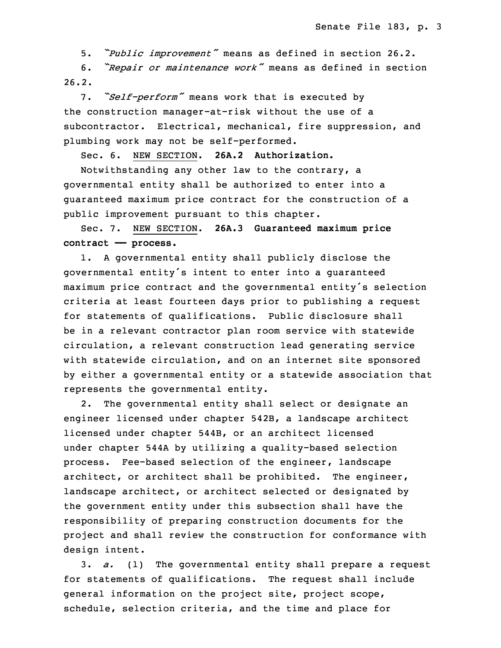5. *"Public improvement"* means as defined in section 26.2.

<sup>25</sup> 6. *"Repair or maintenance work"* means as defined in section  $26.2.$ 

27 7. *"Self-perform"* means work that is executed by the construction manager-at-risk without the use of a subcontractor. Electrical, mechanical, fire suppression, and plumbing work may not be self-performed.

31 Sec. 6. NEW SECTION. **26A.2 Authorization.**

Notwithstanding any other law to the contrary, a governmental entity shall be authorized to enter into a quaranteed maximum price contract for the construction of a public improvement pursuant to this chapter.

 Sec. 7. NEW SECTION. **26A.3 Guaranteed maximum price contract —— process.**

1. A governmental entity shall publicly disclose the governmental entity's intent to enter into <sup>a</sup> guaranteed maximum price contract and the governmental entity's selection criteria at least fourteen days prior to publishing a request for statements of qualifications. Public disclosure shall be in a relevant contractor plan room service with statewide circulation, a relevant construction lead generating service with statewide circulation, and on an internet site sponsored by either <sup>a</sup> governmental entity or <sup>a</sup> statewide association that represents the governmental entity.

2. The governmental entity shall select or designate an engineer licensed under chapter 542B, <sup>a</sup> landscape architect licensed under chapter 544B, or an architect licensed under chapter 544A by utilizing a quality-based selection process. Fee-based selection of the engineer, landscape architect, or architect shall be prohibited. The engineer, landscape architect, or architect selected or designated by the government entity under this subsection shall have the responsibility of preparing construction documents for the project and shall review the construction for conformance with design intent.

 3. *a.* (1) The governmental entity shall prepare <sup>a</sup> request for statements of qualifications. The request shall include general information on the project site, project scope, schedule, selection criteria, and the time and place for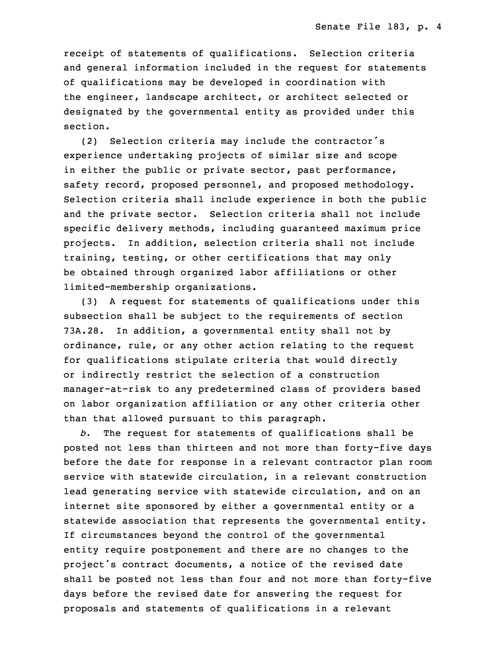receipt of statements of qualifications. Selection criteria and general information included in the request for statements of qualifications may be developed in coordination with the engineer, landscape architect, or architect selected or designated by the governmental entity as provided under this section.

(2) Selection criteria may include the contractor's experience undertaking projects of similar size and scope in either the public or private sector, past performance, safety record, proposed personnel, and proposed methodology. Selection criteria shall include experience in both the public and the private sector. Selection criteria shall not include 5 specific delivery methods, including guaranteed maximum price projects. In addition, selection criteria shall not include training, testing, or other certifications that may only be obtained through organized labor affiliations or other limited-membership organizations.

10 (3) <sup>A</sup> request for statements of qualifications under this subsection shall be subject to the requirements of section 73A.28. In addition, <sup>a</sup> governmental entity shall not by ordinance, rule, or any other action relating to the request for qualifications stipulate criteria that would directly or indirectly restrict the selection of a construction manager-at-risk to any predetermined class of providers based on labor organization affiliation or any other criteria other than that allowed pursuant to this paragraph.

b. The request for statements of qualifications shall be posted not less than thirteen and not more than forty-five days before the date for response in <sup>a</sup> relevant contractor plan room service with statewide circulation, in <sup>a</sup> relevant construction lead generating service with statewide circulation, and on an internet site sponsored by either <sup>a</sup> governmental entity or <sup>a</sup> statewide association that represents the governmental entity. If circumstances beyond the control of the governmental entity require postponement and there are no changes to the project's contract documents, a notice of the revised date shall be posted not less than four and not more than forty-five days before the revised date for answering the request for proposals and statements of qualifications in a relevant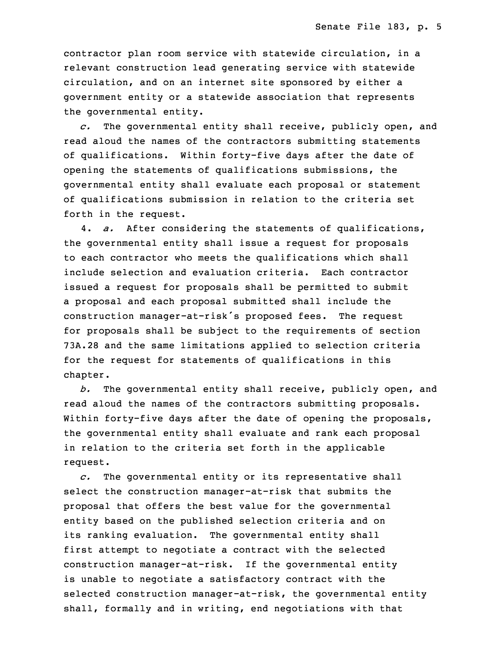contractor plan room service with statewide circulation, in a relevant construction lead generating service with statewide circulation, and on an internet site sponsored by either a government entity or a statewide association that represents the governmental entity.

 *c.* The governmental entity shall receive, publicly open, and read aloud the names of the contractors submitting statements of qualifications. Within forty-five days after the date of opening the statements of qualifications submissions, the governmental entity shall evaluate each proposal or statement 7 of qualifications submission in relation to the criteria set forth in the request.

9 4. *a.* After considering the statements of qualifications, the governmental entity shall issue a request for proposals to each contractor who meets the qualifications which shall include selection and evaluation criteria. Each contractor issued a request for proposals shall be permitted to submit <sup>a</sup> proposal and each proposal submitted shall include the construction manager-at-risk's proposed fees. The request for proposals shall be subject to the requirements of section 17 73A.28 and the same limitations applied to selection criteria for the request for statements of qualifications in this chapter.

b. The governmental entity shall receive, publicly open, and read aloud the names of the contractors submitting proposals. Within forty-five days after the date of opening the proposals, the governmental entity shall evaluate and rank each proposal in relation to the criteria set forth in the applicable request.

26 *c.* The governmental entity or its representative shall select the construction manager-at-risk that submits the proposal that offers the best value for the governmental entity based on the published selection criteria and on its ranking evaluation. The governmental entity shall first attempt to negotiate a contract with the selected construction manager-at-risk. If the governmental entity is unable to negotiate a satisfactory contract with the selected construction manager-at-risk, the governmental entity shall, formally and in writing, end negotiations with that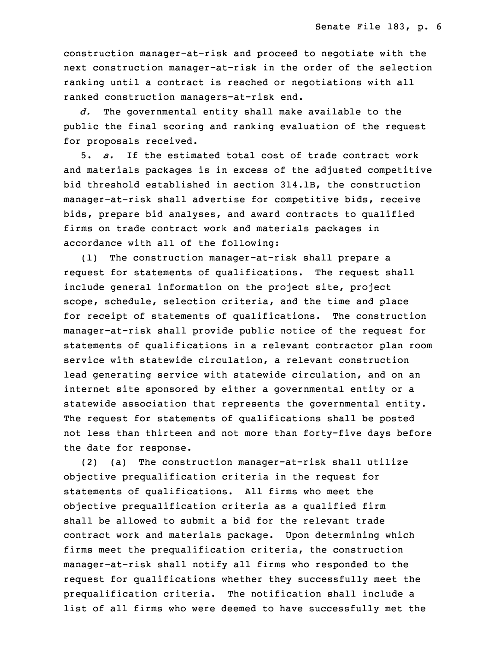construction manager-at-risk and proceed to negotiate with the next construction manager-at-risk in the order of the selection ranking until a contract is reached or negotiations with all ranked construction managers-at-risk end.

5 *d.* The governmental entity shall make available to the public the final scoring and ranking evaluation of the request for proposals received.

8 5. *a.* If the estimated total cost of trade contract work and materials packages is in excess of the adjusted competitive bid threshold established in section 314.1B, the construction manager-at-risk shall advertise for competitive bids, receive bids, prepare bid analyses, and award contracts to qualified firms on trade contract work and materials packages in accordance with all of the following:

(1) The construction manager-at-risk shall prepare a request for statements of qualifications. The request shall include general information on the project site, project scope, schedule, selection criteria, and the time and place for receipt of statements of qualifications. The construction manager-at-risk shall provide public notice of the request for statements of qualifications in <sup>a</sup> relevant contractor plan room service with statewide circulation, <sup>a</sup> relevant construction lead generating service with statewide circulation, and on an internet site sponsored by either <sup>a</sup> governmental entity or <sup>a</sup> statewide association that represents the governmental entity. The request for statements of qualifications shall be posted not less than thirteen and not more than forty-five days before the date for response.

29 (2) (a) The construction manager-at-risk shall utilize objective prequalification criteria in the request for statements of qualifications. All firms who meet the objective prequalification criteria as a qualified firm shall be allowed to submit a bid for the relevant trade contract work and materials package. Upon determining which firms meet the prequalification criteria, the construction manager-at-risk shall notify all firms who responded to the request for qualifications whether they successfully meet the prequalification criteria. The notification shall include a list of all firms who were deemed to have successfully met the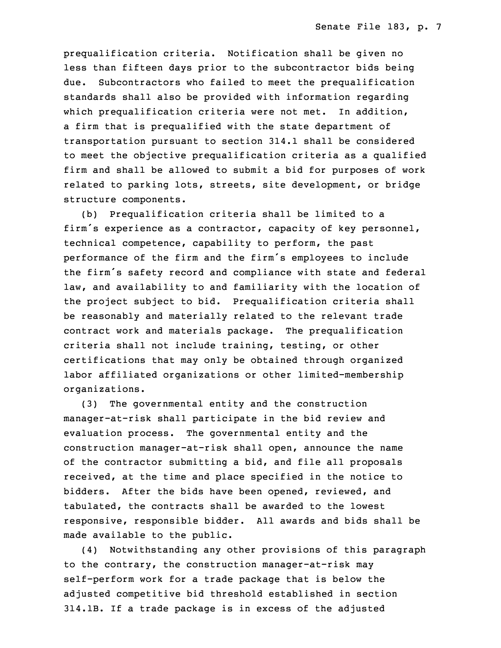prequalification criteria. Notification shall be given no less than fifteen days prior to the subcontractor bids being due. Subcontractors who failed to meet the prequalification standards shall also be provided with information regarding which prequalification criteria were not met. In addition, a firm that is prequalified with the state department of transportation pursuant to section 314.1 shall be considered to meet the objective prequalification criteria as <sup>a</sup> qualified firm and shall be allowed to submit a bid for purposes of work related to parking lots, streets, site development, or bridge structure components.

(b) Prequalification criteria shall be limited to a firm's experience as a contractor, capacity of key personnel, technical competence, capability to perform, the past performance of the firm and the firm's employees to include the firm's safety record and compliance with state and federal law, and availability to and familiarity with the location of the project subject to bid. Prequalification criteria shall be reasonably and materially related to the relevant trade contract work and materials package. The prequalification criteria shall not include training, testing, or other certifications that may only be obtained through organized labor affiliated organizations or other limited-membership organizations.

(3) The governmental entity and the construction manager-at-risk shall participate in the bid review and evaluation process. The governmental entity and the construction manager-at-risk shall open, announce the name of the contractor submitting a bid, and file all proposals received, at the time and place specified in the notice to bidders. After the bids have been opened, reviewed, and tabulated, the contracts shall be awarded to the lowest responsive, responsible bidder. All awards and bids shall be made available to the public.

 (4) Notwithstanding any other provisions of this paragraph to the contrary, the construction manager-at-risk may self-perform work for a trade package that is below the adjusted competitive bid threshold established in section 8 314.1B. If <sup>a</sup> trade package is in excess of the adjusted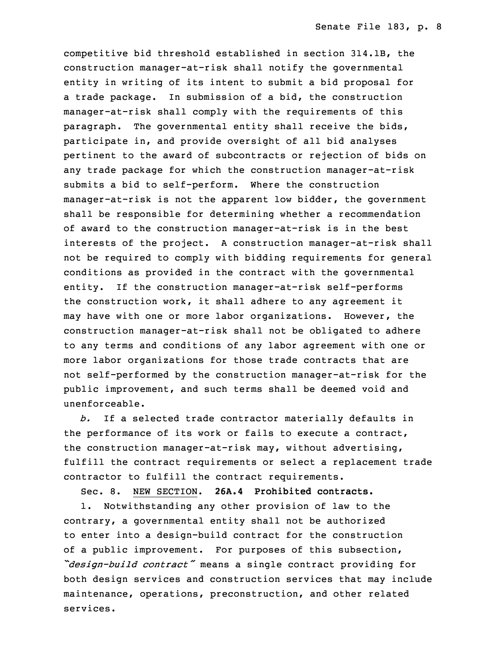competitive bid threshold established in section 314.1B, the construction manager-at-risk shall notify the governmental entity in writing of its intent to submit <sup>a</sup> bid proposal for <sup>a</sup> trade package. In submission of <sup>a</sup> bid, the construction manager-at-risk shall comply with the requirements of this paragraph. The governmental entity shall receive the bids, participate in, and provide oversight of all bid analyses pertinent to the award of subcontracts or rejection of bids on any trade package for which the construction manager-at-risk submits a bid to self-perform. Where the construction manager-at-risk is not the apparent low bidder, the government shall be responsible for determining whether a recommendation of award to the construction manager-at-risk is in the best interests of the project. <sup>A</sup> construction manager-at-risk shall not be required to comply with bidding requirements for general conditions as provided in the contract with the governmental entity. If the construction manager-at-risk self-performs the construction work, it shall adhere to any agreement it may have with one or more labor organizations. However, the construction manager-at-risk shall not be obligated to adhere to any terms and conditions of any labor agreement with one or more labor organizations for those trade contracts that are not self-performed by the construction manager-at-risk for the public improvement, and such terms shall be deemed void and unenforceable.

b. If a selected trade contractor materially defaults in the performance of its work or fails to execute a contract, the construction manager-at-risk may, without advertising, fulfill the contract requirements or select <sup>a</sup> replacement trade contractor to fulfill the contract requirements.

Sec. 8. NEW SECTION. **26A.4 Prohibited contracts.**

1. Notwithstanding any other provision of law to the contrary, a governmental entity shall not be authorized 7 to enter into <sup>a</sup> design-build contract for the construction of a public improvement. For purposes of this subsection, <sup>9</sup> *"design-build contract"* means <sup>a</sup> single contract providing for both design services and construction services that may include maintenance, operations, preconstruction, and other related services.